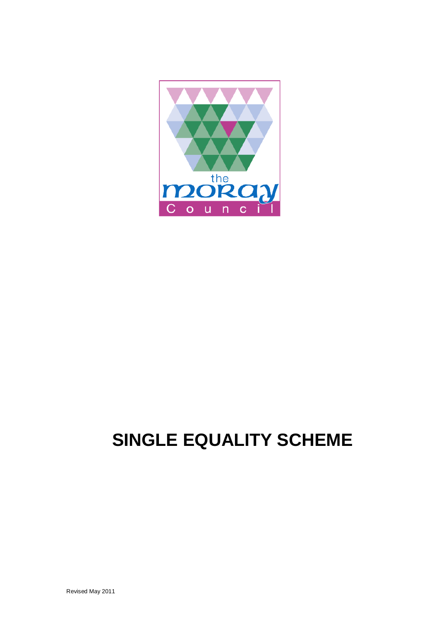

# **SINGLE EQUALITY SCHEME**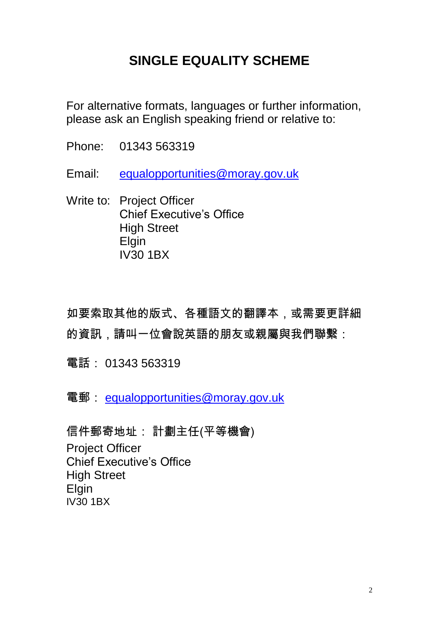# **SINGLE EQUALITY SCHEME**

For alternative formats, languages or further information, please ask an English speaking friend or relative to:

Phone: 01343 563319

Email: [equalopportunities@moray.gov.uk](mailto:equalopportunities@moray.gov.uk)

Write to: Project Officer Chief Executive"s Office High Street Elgin IV30 1BX

如要索取其他的版式、各種語文的翻譯本,或需要更詳細 的資訊,請叫一位會說英語的朋友或親屬與我們聯繫:

電話: 01343 563319

電郵: [equalopportunities@moray.gov.uk](mailto:equalopportunities@moray.gov.uk)

信件郵寄地址: 計劃主任(平等機會) Project Officer Chief Executive"s Office High Street **Elgin** IV30 1BX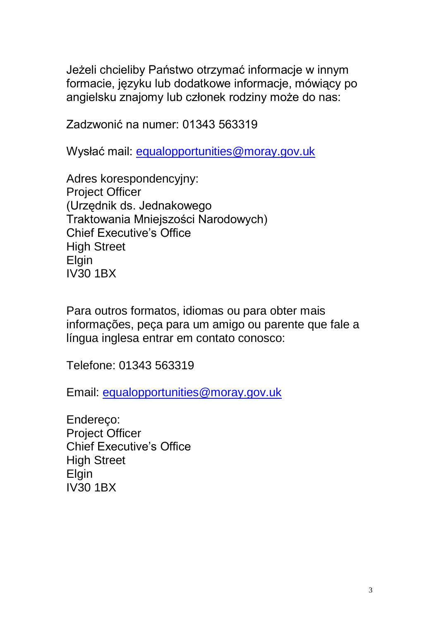Jeżeli chcieliby Państwo otrzymać informacje w innym formacie, języku lub dodatkowe informacje, mówiący po angielsku znajomy lub członek rodziny może do nas:

Zadzwonić na numer: 01343 563319

Wysłać mail: [equalopportunities@moray.gov.uk](mailto:equalopportunities@moray.gov.uk)

Adres korespondencyjny: Project Officer (Urzędnik ds. Jednakowego Traktowania Mniejszości Narodowych) Chief Executive's Office High Street Elgin IV30 1BX

Para outros formatos, idiomas ou para obter mais informações, peça para um amigo ou parente que fale a língua inglesa entrar em contato conosco:

Telefone: 01343 563319

Email: [equalopportunities@moray.gov.uk](mailto:equalopportunities@moray.gov.uk)

Endereço: Project Officer Chief Executive"s Office High Street Elgin IV30 1BX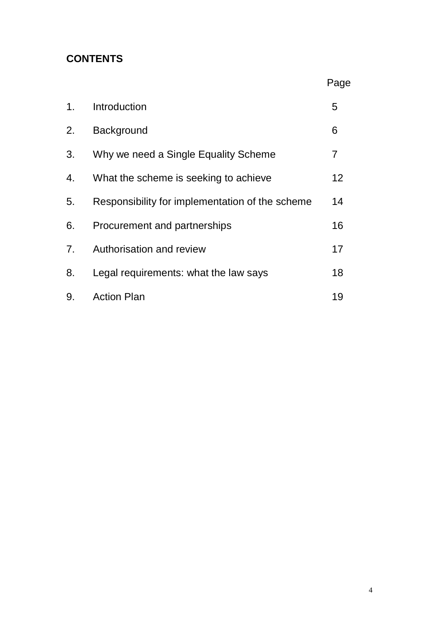# **CONTENTS**

|                |                                                 | Page           |
|----------------|-------------------------------------------------|----------------|
| 1 <sub>1</sub> | Introduction                                    | 5              |
| 2.             | <b>Background</b>                               | 6              |
| 3.             | Why we need a Single Equality Scheme            | $\overline{7}$ |
| 4.             | What the scheme is seeking to achieve           | 12             |
| 5.             | Responsibility for implementation of the scheme | 14             |
| 6.             | Procurement and partnerships                    | 16             |
| 7 <sub>1</sub> | Authorisation and review                        | 17             |
| 8.             | Legal requirements: what the law says           | 18             |
| 9.             | <b>Action Plan</b>                              | 19             |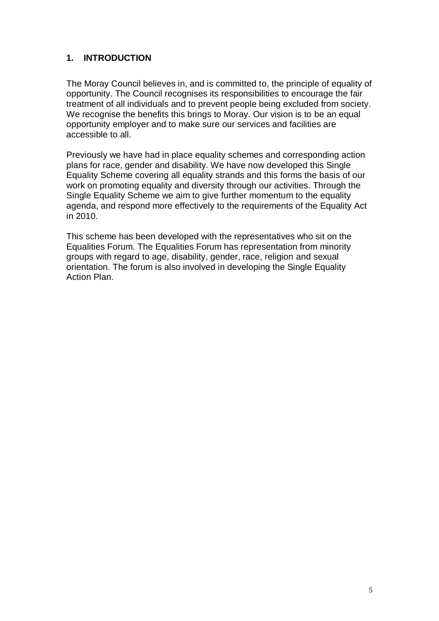# **1. INTRODUCTION**

The Moray Council believes in, and is committed to, the principle of equality of opportunity. The Council recognises its responsibilities to encourage the fair treatment of all individuals and to prevent people being excluded from society. We recognise the benefits this brings to Moray. Our vision is to be an equal opportunity employer and to make sure our services and facilities are accessible to all.

Previously we have had in place equality schemes and corresponding action plans for race, gender and disability. We have now developed this Single Equality Scheme covering all equality strands and this forms the basis of our work on promoting equality and diversity through our activities. Through the Single Equality Scheme we aim to give further momentum to the equality agenda, and respond more effectively to the requirements of the Equality Act in 2010.

This scheme has been developed with the representatives who sit on the Equalities Forum. The Equalities Forum has representation from minority groups with regard to age, disability, gender, race, religion and sexual orientation. The forum is also involved in developing the Single Equality Action Plan.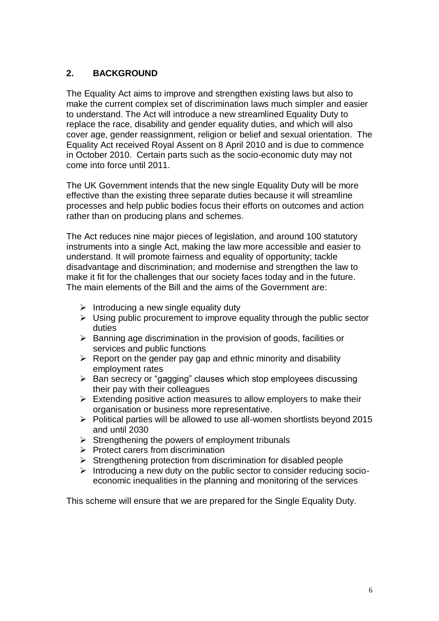# **2. BACKGROUND**

The Equality Act aims to improve and strengthen existing laws but also to make the current complex set of discrimination laws much simpler and easier to understand. The Act will introduce a new streamlined Equality Duty to replace the race, disability and gender equality duties, and which will also cover age, gender reassignment, religion or belief and sexual orientation. The Equality Act received Royal Assent on 8 April 2010 and is due to commence in October 2010. Certain parts such as the socio-economic duty may not come into force until 2011.

The UK Government intends that the new single Equality Duty will be more effective than the existing three separate duties because it will streamline processes and help public bodies focus their efforts on outcomes and action rather than on producing plans and schemes.

The Act reduces nine major pieces of legislation, and around 100 statutory instruments into a single Act, making the law more accessible and easier to understand. It will promote fairness and equality of opportunity; tackle disadvantage and discrimination; and modernise and strengthen the law to make it fit for the challenges that our society faces today and in the future. The main elements of the Bill and the aims of the Government are:

- $\triangleright$  Introducing a new single equality duty
- $\triangleright$  Using public procurement to improve equality through the public sector duties
- $\triangleright$  Banning age discrimination in the provision of goods, facilities or services and public functions
- $\triangleright$  Report on the gender pay gap and ethnic minority and disability employment rates
- $\triangleright$  Ban secrecy or "gagging" clauses which stop employees discussing their pay with their colleagues
- $\triangleright$  Extending positive action measures to allow employers to make their organisation or business more representative.
- $\triangleright$  Political parties will be allowed to use all-women shortlists beyond 2015 and until 2030
- $\triangleright$  Strengthening the powers of employment tribunals
- $\triangleright$  Protect carers from discrimination
- $\triangleright$  Strengthening protection from discrimination for disabled people
- $\triangleright$  Introducing a new duty on the public sector to consider reducing socioeconomic inequalities in the planning and monitoring of the services

This scheme will ensure that we are prepared for the Single Equality Duty.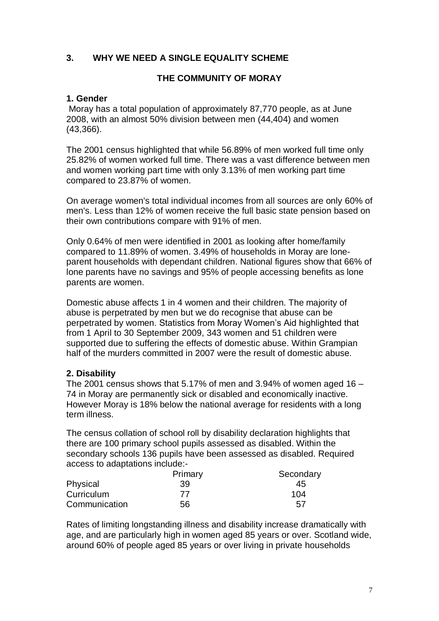#### **3. WHY WE NEED A SINGLE EQUALITY SCHEME**

#### **THE COMMUNITY OF MORAY**

#### **1. Gender**

Moray has a total population of approximately 87,770 people, as at June 2008, with an almost 50% division between men (44,404) and women (43,366).

The 2001 census highlighted that while 56.89% of men worked full time only 25.82% of women worked full time. There was a vast difference between men and women working part time with only 3.13% of men working part time compared to 23.87% of women.

On average women's total individual incomes from all sources are only 60% of men's. Less than 12% of women receive the full basic state pension based on their own contributions compare with 91% of men.

Only 0.64% of men were identified in 2001 as looking after home/family compared to 11.89% of women. 3.49% of households in Moray are loneparent households with dependant children. National figures show that 66% of lone parents have no savings and 95% of people accessing benefits as lone parents are women.

Domestic abuse affects 1 in 4 women and their children. The majority of abuse is perpetrated by men but we do recognise that abuse can be perpetrated by women. Statistics from Moray Women"s Aid highlighted that from 1 April to 30 September 2009, 343 women and 51 children were supported due to suffering the effects of domestic abuse. Within Grampian half of the murders committed in 2007 were the result of domestic abuse.

#### **2. Disability**

The 2001 census shows that 5.17% of men and 3.94% of women aged 16  $-$ 74 in Moray are permanently sick or disabled and economically inactive. However Moray is 18% below the national average for residents with a long term illness.

The census collation of school roll by disability declaration highlights that there are 100 primary school pupils assessed as disabled. Within the secondary schools 136 pupils have been assessed as disabled. Required access to adaptations include:-

|               | Primary | Secondary |
|---------------|---------|-----------|
| Physical      | 39      | 45        |
| Curriculum    | 77      | 104       |
| Communication | 56      | 57        |

Rates of limiting longstanding illness and disability increase dramatically with age, and are particularly high in women aged 85 years or over. Scotland wide, around 60% of people aged 85 years or over living in private households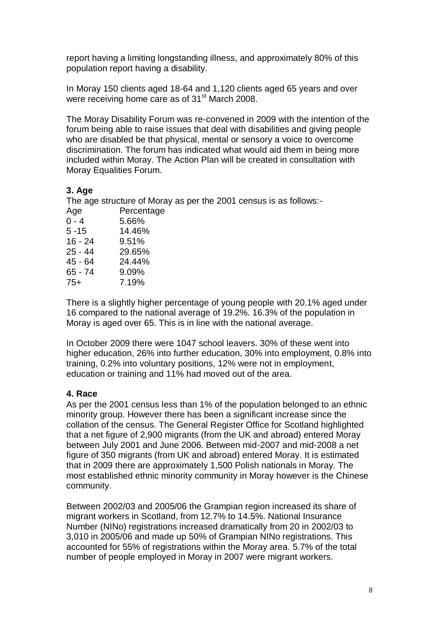report having a limiting longstanding illness, and approximately 80% of this population report having a disability.

In Moray 150 clients aged 18-64 and 1,120 clients aged 65 years and over were receiving home care as of 31<sup>st</sup> March 2008.

The Moray Disability Forum was re-convened in 2009 with the intention of the forum being able to raise issues that deal with disabilities and giving people who are disabled be that physical, mental or sensory a voice to overcome discrimination. The forum has indicated what would aid them in being more included within Moray. The Action Plan will be created in consultation with Moray Equalities Forum.

# **3. Age**

The age structure of Moray as per the 2001 census is as follows:-

| Age       | Percentage |
|-----------|------------|
| $0 - 4$   | 5.66%      |
| $5 - 15$  | 14.46%     |
| $16 - 24$ | 9.51%      |
| $25 - 44$ | 29.65%     |
| 45 - 64   | 24.44%     |
| 65 - 74   | 9.09%      |
| $75+$     | 7.19%      |
|           |            |

There is a slightly higher percentage of young people with 20.1% aged under 16 compared to the national average of 19.2%. 16.3% of the population in Moray is aged over 65. This is in line with the national average.

In October 2009 there were 1047 school leavers. 30% of these went into higher education, 26% into further education, 30% into employment, 0.8% into training, 0.2% into voluntary positions, 12% were not in employment, education or training and 11% had moved out of the area.

# **4. Race**

As per the 2001 census less than 1% of the population belonged to an ethnic minority group. However there has been a significant increase since the collation of the census. The General Register Office for Scotland highlighted that a net figure of 2,900 migrants (from the UK and abroad) entered Moray between July 2001 and June 2006. Between mid-2007 and mid-2008 a net figure of 350 migrants (from UK and abroad) entered Moray. It is estimated that in 2009 there are approximately 1,500 Polish nationals in Moray. The most established ethnic minority community in Moray however is the Chinese community.

Between 2002/03 and 2005/06 the Grampian region increased its share of migrant workers in Scotland, from 12.7% to 14.5%. National Insurance Number (NINo) registrations increased dramatically from 20 in 2002/03 to 3,010 in 2005/06 and made up 50% of Grampian NINo registrations. This accounted for 55% of registrations within the Moray area. 5.7% of the total number of people employed in Moray in 2007 were migrant workers.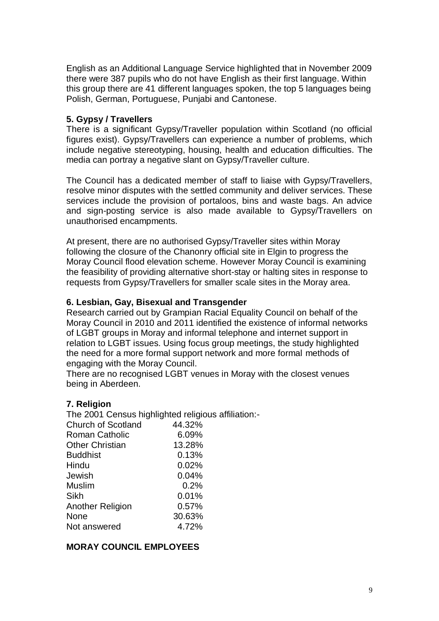English as an Additional Language Service highlighted that in November 2009 there were 387 pupils who do not have English as their first language. Within this group there are 41 different languages spoken, the top 5 languages being Polish, German, Portuguese, Punjabi and Cantonese.

#### **5. Gypsy / Travellers**

There is a significant Gypsy/Traveller population within Scotland (no official figures exist). Gypsy/Travellers can experience a number of problems, which include negative stereotyping, housing, health and education difficulties. The media can portray a negative slant on Gypsy/Traveller culture.

The Council has a dedicated member of staff to liaise with Gypsy/Travellers, resolve minor disputes with the settled community and deliver services. These services include the provision of portaloos, bins and waste bags. An advice and sign-posting service is also made available to Gypsy/Travellers on unauthorised encampments.

At present, there are no authorised Gypsy/Traveller sites within Moray following the closure of the Chanonry official site in Elgin to progress the Moray Council flood elevation scheme. However Moray Council is examining the feasibility of providing alternative short-stay or halting sites in response to requests from Gypsy/Travellers for smaller scale sites in the Moray area.

#### **6. Lesbian, Gay, Bisexual and Transgender**

Research carried out by Grampian Racial Equality Council on behalf of the Moray Council in 2010 and 2011 identified the existence of informal networks of LGBT groups in Moray and informal telephone and internet support in relation to LGBT issues. Using focus group meetings, the study highlighted the need for a more formal support network and more formal methods of engaging with the Moray Council.

There are no recognised LGBT venues in Moray with the closest venues being in Aberdeen.

#### **7. Religion**

The 2001 Census highlighted religious affiliation:-

| <b>Church of Scotland</b> | 44.32% |
|---------------------------|--------|
| <b>Roman Catholic</b>     | 6.09%  |
| <b>Other Christian</b>    | 13.28% |
| <b>Buddhist</b>           | 0.13%  |
| Hindu                     | 0.02%  |
| Jewish                    | 0.04%  |
| <b>Muslim</b>             | 0.2%   |
| Sikh                      | 0.01%  |
| <b>Another Religion</b>   | 0.57%  |
| None                      | 30.63% |
| Not answered              | 4.72%  |

# **MORAY COUNCIL EMPLOYEES**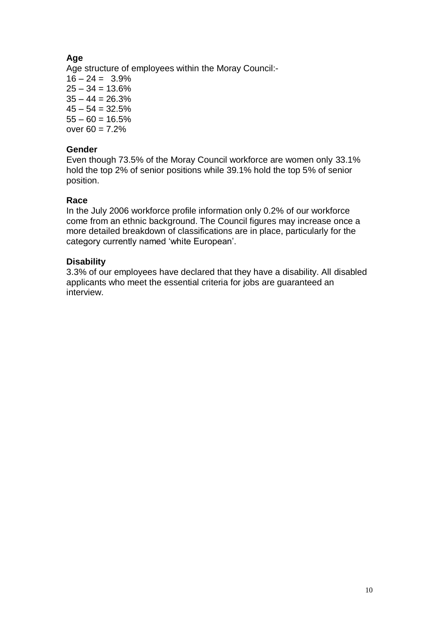# **Age**

Age structure of employees within the Moray Council:-

 $16 - 24 = 3.9\%$  $25 - 34 = 13.6\%$  $35 - 44 = 26.3%$  $45 - 54 = 32.5%$  $55 - 60 = 16.5\%$ over  $60 = 7.2%$ 

# **Gender**

Even though 73.5% of the Moray Council workforce are women only 33.1% hold the top 2% of senior positions while 39.1% hold the top 5% of senior position.

# **Race**

In the July 2006 workforce profile information only 0.2% of our workforce come from an ethnic background. The Council figures may increase once a more detailed breakdown of classifications are in place, particularly for the category currently named 'white European'.

# **Disability**

3.3% of our employees have declared that they have a disability. All disabled applicants who meet the essential criteria for jobs are guaranteed an interview.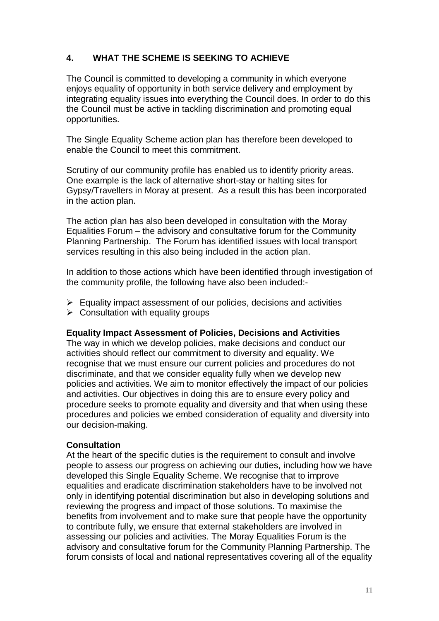# **4. WHAT THE SCHEME IS SEEKING TO ACHIEVE**

The Council is committed to developing a community in which everyone enjoys equality of opportunity in both service delivery and employment by integrating equality issues into everything the Council does. In order to do this the Council must be active in tackling discrimination and promoting equal opportunities.

The Single Equality Scheme action plan has therefore been developed to enable the Council to meet this commitment.

Scrutiny of our community profile has enabled us to identify priority areas. One example is the lack of alternative short-stay or halting sites for Gypsy/Travellers in Moray at present. As a result this has been incorporated in the action plan.

The action plan has also been developed in consultation with the Moray Equalities Forum – the advisory and consultative forum for the Community Planning Partnership. The Forum has identified issues with local transport services resulting in this also being included in the action plan.

In addition to those actions which have been identified through investigation of the community profile, the following have also been included:-

- $\triangleright$  Equality impact assessment of our policies, decisions and activities
- $\triangleright$  Consultation with equality groups

#### **Equality Impact Assessment of Policies, Decisions and Activities**

The way in which we develop policies, make decisions and conduct our activities should reflect our commitment to diversity and equality. We recognise that we must ensure our current policies and procedures do not discriminate, and that we consider equality fully when we develop new policies and activities. We aim to monitor effectively the impact of our policies and activities. Our objectives in doing this are to ensure every policy and procedure seeks to promote equality and diversity and that when using these procedures and policies we embed consideration of equality and diversity into our decision-making.

#### **Consultation**

At the heart of the specific duties is the requirement to consult and involve people to assess our progress on achieving our duties, including how we have developed this Single Equality Scheme. We recognise that to improve equalities and eradicate discrimination stakeholders have to be involved not only in identifying potential discrimination but also in developing solutions and reviewing the progress and impact of those solutions. To maximise the benefits from involvement and to make sure that people have the opportunity to contribute fully, we ensure that external stakeholders are involved in assessing our policies and activities. The Moray Equalities Forum is the advisory and consultative forum for the Community Planning Partnership. The forum consists of local and national representatives covering all of the equality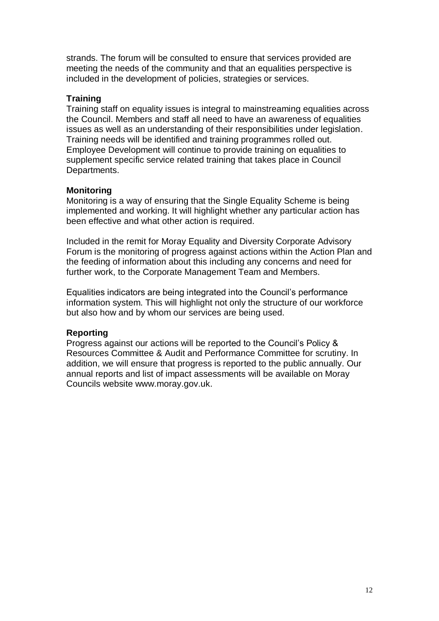strands. The forum will be consulted to ensure that services provided are meeting the needs of the community and that an equalities perspective is included in the development of policies, strategies or services.

#### **Training**

Training staff on equality issues is integral to mainstreaming equalities across the Council. Members and staff all need to have an awareness of equalities issues as well as an understanding of their responsibilities under legislation. Training needs will be identified and training programmes rolled out. Employee Development will continue to provide training on equalities to supplement specific service related training that takes place in Council Departments.

#### **Monitoring**

Monitoring is a way of ensuring that the Single Equality Scheme is being implemented and working. It will highlight whether any particular action has been effective and what other action is required.

Included in the remit for Moray Equality and Diversity Corporate Advisory Forum is the monitoring of progress against actions within the Action Plan and the feeding of information about this including any concerns and need for further work, to the Corporate Management Team and Members.

Equalities indicators are being integrated into the Council"s performance information system. This will highlight not only the structure of our workforce but also how and by whom our services are being used.

#### **Reporting**

Progress against our actions will be reported to the Council"s Policy & Resources Committee & Audit and Performance Committee for scrutiny. In addition, we will ensure that progress is reported to the public annually. Our annual reports and list of impact assessments will be available on Moray Councils website www.moray.gov.uk.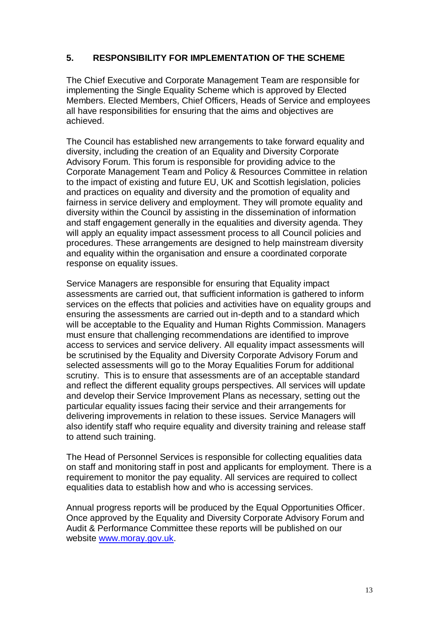# **5. RESPONSIBILITY FOR IMPLEMENTATION OF THE SCHEME**

The Chief Executive and Corporate Management Team are responsible for implementing the Single Equality Scheme which is approved by Elected Members. Elected Members, Chief Officers, Heads of Service and employees all have responsibilities for ensuring that the aims and objectives are achieved.

The Council has established new arrangements to take forward equality and diversity, including the creation of an Equality and Diversity Corporate Advisory Forum. This forum is responsible for providing advice to the Corporate Management Team and Policy & Resources Committee in relation to the impact of existing and future EU, UK and Scottish legislation, policies and practices on equality and diversity and the promotion of equality and fairness in service delivery and employment. They will promote equality and diversity within the Council by assisting in the dissemination of information and staff engagement generally in the equalities and diversity agenda. They will apply an equality impact assessment process to all Council policies and procedures. These arrangements are designed to help mainstream diversity and equality within the organisation and ensure a coordinated corporate response on equality issues.

Service Managers are responsible for ensuring that Equality impact assessments are carried out, that sufficient information is gathered to inform services on the effects that policies and activities have on equality groups and ensuring the assessments are carried out in-depth and to a standard which will be acceptable to the Equality and Human Rights Commission. Managers must ensure that challenging recommendations are identified to improve access to services and service delivery. All equality impact assessments will be scrutinised by the Equality and Diversity Corporate Advisory Forum and selected assessments will go to the Moray Equalities Forum for additional scrutiny. This is to ensure that assessments are of an acceptable standard and reflect the different equality groups perspectives. All services will update and develop their Service Improvement Plans as necessary, setting out the particular equality issues facing their service and their arrangements for delivering improvements in relation to these issues. Service Managers will also identify staff who require equality and diversity training and release staff to attend such training.

The Head of Personnel Services is responsible for collecting equalities data on staff and monitoring staff in post and applicants for employment. There is a requirement to monitor the pay equality. All services are required to collect equalities data to establish how and who is accessing services.

Annual progress reports will be produced by the Equal Opportunities Officer. Once approved by the Equality and Diversity Corporate Advisory Forum and Audit & Performance Committee these reports will be published on our website [www.moray.gov.uk.](http://www.moray.gov.uk/)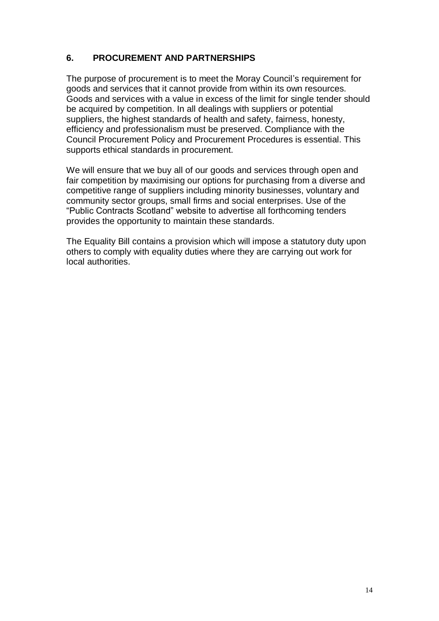# **6. PROCUREMENT AND PARTNERSHIPS**

The purpose of procurement is to meet the Moray Council's requirement for goods and services that it cannot provide from within its own resources. Goods and services with a value in excess of the limit for single tender should be acquired by competition. In all dealings with suppliers or potential suppliers, the highest standards of health and safety, fairness, honesty, efficiency and professionalism must be preserved. Compliance with the Council Procurement Policy and Procurement Procedures is essential. This supports ethical standards in procurement.

We will ensure that we buy all of our goods and services through open and fair competition by maximising our options for purchasing from a diverse and competitive range of suppliers including minority businesses, voluntary and community sector groups, small firms and social enterprises. Use of the "Public Contracts Scotland" website to advertise all forthcoming tenders provides the opportunity to maintain these standards.

The Equality Bill contains a provision which will impose a statutory duty upon others to comply with equality duties where they are carrying out work for local authorities.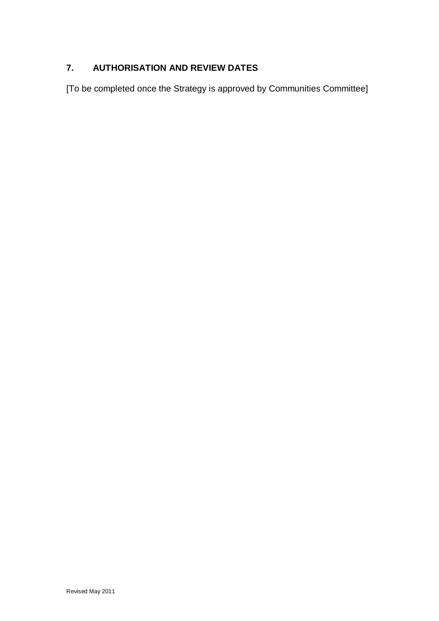# **7. AUTHORISATION AND REVIEW DATES**

[To be completed once the Strategy is approved by Communities Committee]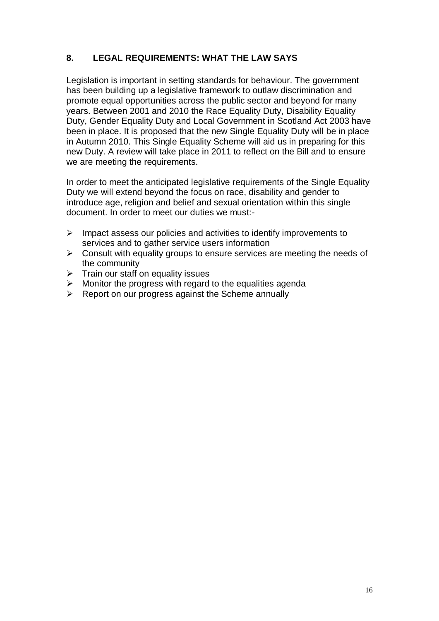# **8. LEGAL REQUIREMENTS: WHAT THE LAW SAYS**

Legislation is important in setting standards for behaviour. The government has been building up a legislative framework to outlaw discrimination and promote equal opportunities across the public sector and beyond for many years. Between 2001 and 2010 the Race Equality Duty, Disability Equality Duty, Gender Equality Duty and Local Government in Scotland Act 2003 have been in place. It is proposed that the new Single Equality Duty will be in place in Autumn 2010. This Single Equality Scheme will aid us in preparing for this new Duty. A review will take place in 2011 to reflect on the Bill and to ensure we are meeting the requirements.

In order to meet the anticipated legislative requirements of the Single Equality Duty we will extend beyond the focus on race, disability and gender to introduce age, religion and belief and sexual orientation within this single document. In order to meet our duties we must:-

- $\triangleright$  Impact assess our policies and activities to identify improvements to services and to gather service users information
- $\triangleright$  Consult with equality groups to ensure services are meeting the needs of the community
- $\triangleright$  Train our staff on equality issues
- $\triangleright$  Monitor the progress with regard to the equalities agenda
- ▶ Report on our progress against the Scheme annually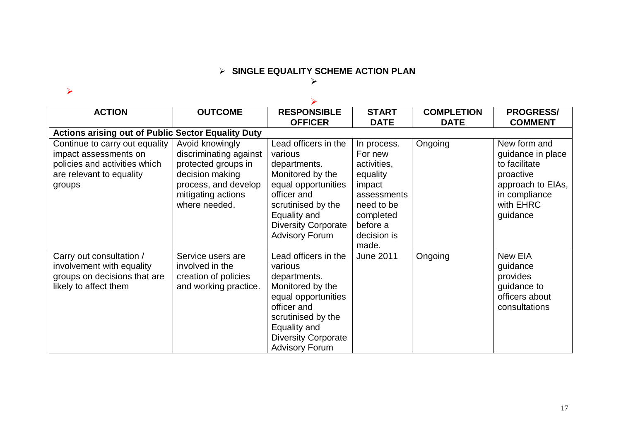# **SINGLE EQUALITY SCHEME ACTION PLAN**

#### $\blacktriangleright$

#### $\blacktriangleright$

| <b>ACTION</b>                                                                                                                  | <b>OUTCOME</b>                                                                                                                                     | <b>RESPONSIBLE</b>                                                                                                                                                                                     | <b>START</b>                                                                                                                              | <b>COMPLETION</b> | <b>PROGRESS/</b>                                                                                                               |
|--------------------------------------------------------------------------------------------------------------------------------|----------------------------------------------------------------------------------------------------------------------------------------------------|--------------------------------------------------------------------------------------------------------------------------------------------------------------------------------------------------------|-------------------------------------------------------------------------------------------------------------------------------------------|-------------------|--------------------------------------------------------------------------------------------------------------------------------|
|                                                                                                                                |                                                                                                                                                    | <b>OFFICER</b>                                                                                                                                                                                         | <b>DATE</b>                                                                                                                               | <b>DATE</b>       | <b>COMMENT</b>                                                                                                                 |
| <b>Actions arising out of Public Sector Equality Duty</b>                                                                      |                                                                                                                                                    |                                                                                                                                                                                                        |                                                                                                                                           |                   |                                                                                                                                |
| Continue to carry out equality<br>impact assessments on<br>policies and activities which<br>are relevant to equality<br>groups | Avoid knowingly<br>discriminating against<br>protected groups in<br>decision making<br>process, and develop<br>mitigating actions<br>where needed. | Lead officers in the<br>various<br>departments.<br>Monitored by the<br>equal opportunities<br>officer and<br>scrutinised by the<br>Equality and<br><b>Diversity Corporate</b><br><b>Advisory Forum</b> | In process.<br>For new<br>activities,<br>equality<br>impact<br>assessments<br>need to be<br>completed<br>before a<br>decision is<br>made. | Ongoing           | New form and<br>guidance in place<br>to facilitate<br>proactive<br>approach to EIAs,<br>in compliance<br>with EHRC<br>guidance |
| Carry out consultation /<br>involvement with equality<br>groups on decisions that are<br>likely to affect them                 | Service users are<br>involved in the<br>creation of policies<br>and working practice.                                                              | Lead officers in the<br>various<br>departments.<br>Monitored by the<br>equal opportunities<br>officer and<br>scrutinised by the<br>Equality and<br><b>Diversity Corporate</b><br><b>Advisory Forum</b> | <b>June 2011</b>                                                                                                                          | Ongoing           | New EIA<br>guidance<br>provides<br>guidance to<br>officers about<br>consultations                                              |

#### 17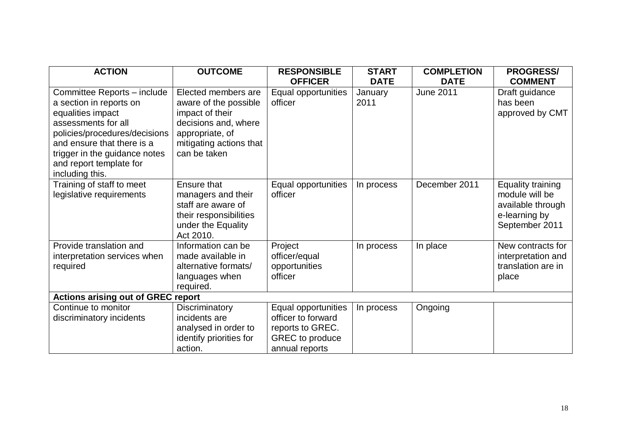| <b>ACTION</b>                                                                                                                                                                                                                                    | <b>OUTCOME</b>                                                                                                                                        | <b>RESPONSIBLE</b><br><b>OFFICER</b>                                                                      | <b>START</b><br><b>DATE</b> | <b>COMPLETION</b><br><b>DATE</b> | <b>PROGRESS/</b><br><b>COMMENT</b>                                                          |  |
|--------------------------------------------------------------------------------------------------------------------------------------------------------------------------------------------------------------------------------------------------|-------------------------------------------------------------------------------------------------------------------------------------------------------|-----------------------------------------------------------------------------------------------------------|-----------------------------|----------------------------------|---------------------------------------------------------------------------------------------|--|
| Committee Reports - include<br>a section in reports on<br>equalities impact<br>assessments for all<br>policies/procedures/decisions<br>and ensure that there is a<br>trigger in the guidance notes<br>and report template for<br>including this. | Elected members are<br>aware of the possible<br>impact of their<br>decisions and, where<br>appropriate, of<br>mitigating actions that<br>can be taken | Equal opportunities<br>officer                                                                            | January<br>2011             | <b>June 2011</b>                 | Draft guidance<br>has been<br>approved by CMT                                               |  |
| Training of staff to meet<br>legislative requirements                                                                                                                                                                                            | Ensure that<br>managers and their<br>staff are aware of<br>their responsibilities<br>under the Equality<br>Act 2010.                                  | Equal opportunities<br>officer                                                                            | In process                  | December 2011                    | Equality training<br>module will be<br>available through<br>e-learning by<br>September 2011 |  |
| Provide translation and<br>interpretation services when<br>required                                                                                                                                                                              | Information can be<br>made available in<br>alternative formats/<br>languages when<br>required.                                                        | Project<br>officer/equal<br>opportunities<br>officer                                                      | In process                  | In place                         | New contracts for<br>interpretation and<br>translation are in<br>place                      |  |
| <b>Actions arising out of GREC report</b>                                                                                                                                                                                                        |                                                                                                                                                       |                                                                                                           |                             |                                  |                                                                                             |  |
| Continue to monitor<br>discriminatory incidents                                                                                                                                                                                                  | Discriminatory<br>incidents are<br>analysed in order to<br>identify priorities for<br>action.                                                         | Equal opportunities<br>officer to forward<br>reports to GREC.<br><b>GREC</b> to produce<br>annual reports | In process                  | Ongoing                          |                                                                                             |  |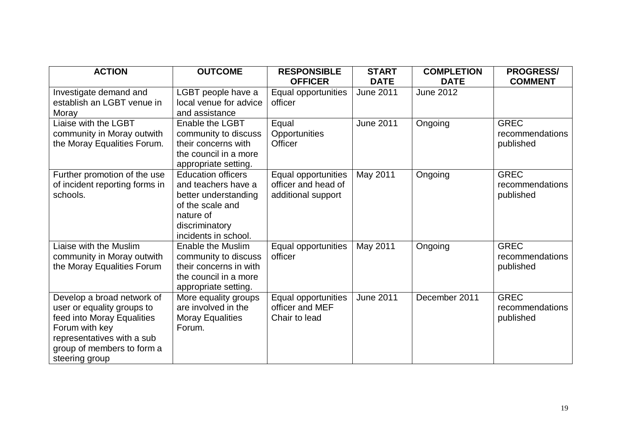| <b>ACTION</b>                                                                                                                                                                          | <b>OUTCOME</b>                                                                                                                                      | <b>RESPONSIBLE</b><br><b>OFFICER</b>                             | <b>START</b><br><b>DATE</b> | <b>COMPLETION</b><br><b>DATE</b> | <b>PROGRESS/</b><br><b>COMMENT</b>          |
|----------------------------------------------------------------------------------------------------------------------------------------------------------------------------------------|-----------------------------------------------------------------------------------------------------------------------------------------------------|------------------------------------------------------------------|-----------------------------|----------------------------------|---------------------------------------------|
| Investigate demand and<br>establish an LGBT venue in<br>Moray                                                                                                                          | LGBT people have a<br>local venue for advice<br>and assistance                                                                                      | Equal opportunities<br>officer                                   | <b>June 2011</b>            | <b>June 2012</b>                 |                                             |
| Liaise with the LGBT<br>community in Moray outwith<br>the Moray Equalities Forum.                                                                                                      | Enable the LGBT<br>community to discuss<br>their concerns with<br>the council in a more<br>appropriate setting.                                     | Equal<br>Opportunities<br>Officer                                | <b>June 2011</b>            | Ongoing                          | <b>GREC</b><br>recommendations<br>published |
| Further promotion of the use<br>of incident reporting forms in<br>schools.                                                                                                             | <b>Education officers</b><br>and teachers have a<br>better understanding<br>of the scale and<br>nature of<br>discriminatory<br>incidents in school. | Equal opportunities<br>officer and head of<br>additional support | May 2011                    | Ongoing                          | <b>GREC</b><br>recommendations<br>published |
| Liaise with the Muslim<br>community in Moray outwith<br>the Moray Equalities Forum                                                                                                     | <b>Enable the Muslim</b><br>community to discuss<br>their concerns in with<br>the council in a more<br>appropriate setting.                         | Equal opportunities<br>officer                                   | May 2011                    | Ongoing                          | <b>GREC</b><br>recommendations<br>published |
| Develop a broad network of<br>user or equality groups to<br>feed into Moray Equalities<br>Forum with key<br>representatives with a sub<br>group of members to form a<br>steering group | More equality groups<br>are involved in the<br><b>Moray Equalities</b><br>Forum.                                                                    | Equal opportunities<br>officer and MEF<br>Chair to lead          | <b>June 2011</b>            | December 2011                    | <b>GREC</b><br>recommendations<br>published |